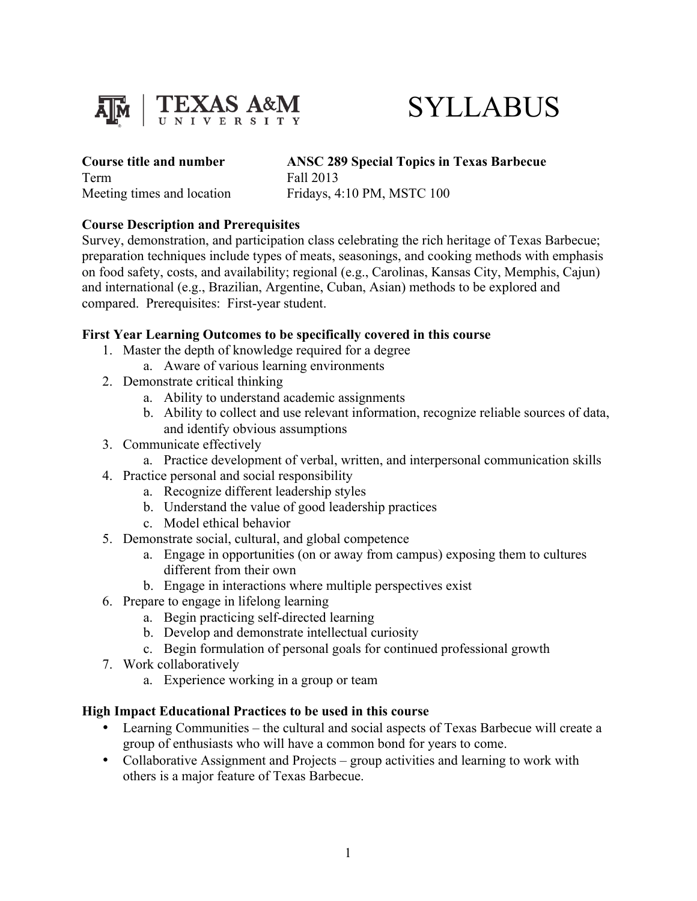

# SYLLABUS

Term Fall 2013

**Course title and number ANSC 289 Special Topics in Texas Barbecue**

Meeting times and location Fridays, 4:10 PM, MSTC 100

#### **Course Description and Prerequisites**

Survey, demonstration, and participation class celebrating the rich heritage of Texas Barbecue; preparation techniques include types of meats, seasonings, and cooking methods with emphasis on food safety, costs, and availability; regional (e.g., Carolinas, Kansas City, Memphis, Cajun) and international (e.g., Brazilian, Argentine, Cuban, Asian) methods to be explored and compared. Prerequisites: First-year student.

#### **First Year Learning Outcomes to be specifically covered in this course**

- 1. Master the depth of knowledge required for a degree
	- a. Aware of various learning environments
- 2. Demonstrate critical thinking
	- a. Ability to understand academic assignments
	- b. Ability to collect and use relevant information, recognize reliable sources of data, and identify obvious assumptions
- 3. Communicate effectively
	- a. Practice development of verbal, written, and interpersonal communication skills
- 4. Practice personal and social responsibility
	- a. Recognize different leadership styles
	- b. Understand the value of good leadership practices
	- c. Model ethical behavior
- 5. Demonstrate social, cultural, and global competence
	- a. Engage in opportunities (on or away from campus) exposing them to cultures different from their own
	- b. Engage in interactions where multiple perspectives exist
- 6. Prepare to engage in lifelong learning
	- a. Begin practicing self-directed learning
	- b. Develop and demonstrate intellectual curiosity
	- c. Begin formulation of personal goals for continued professional growth
- 7. Work collaboratively
	- a. Experience working in a group or team

## **High Impact Educational Practices to be used in this course**

- Learning Communities the cultural and social aspects of Texas Barbecue will create a group of enthusiasts who will have a common bond for years to come.
- Collaborative Assignment and Projects group activities and learning to work with others is a major feature of Texas Barbecue.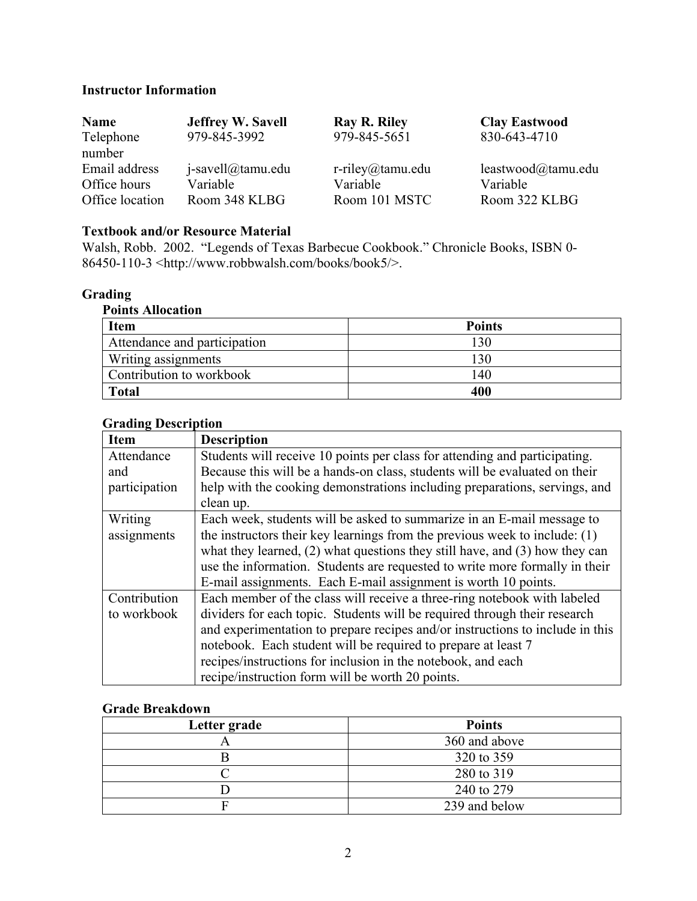#### **Instructor Information**

| <b>Name</b>     | <b>Jeffrey W. Savell</b> | Ray R. Riley        | <b>Clay Eastwood</b> |
|-----------------|--------------------------|---------------------|----------------------|
| Telephone       | 979-845-3992             | 979-845-5651        | 830-643-4710         |
| number          |                          |                     |                      |
| Email address   | $i$ -savell@tamu.edu     | $r$ -riley@tamu.edu | leastwood@tamu.edu   |
| Office hours    | Variable                 | Variable            | Variable             |
| Office location | Room 348 KLBG            | Room 101 MSTC       | Room 322 KLBG        |

## **Textbook and/or Resource Material**

Walsh, Robb. 2002. "Legends of Texas Barbecue Cookbook." Chronicle Books, ISBN 0-  $86450-110-3$  <http://www.robbwalsh.com/books/book5/>.

#### **Grading**

| <b>Points Allocation</b>     |               |  |  |
|------------------------------|---------------|--|--|
| <b>Item</b>                  | <b>Points</b> |  |  |
| Attendance and participation | 130           |  |  |
| <b>Writing assignments</b>   | 130           |  |  |
| Contribution to workbook     | 140           |  |  |
| <b>Total</b>                 | 400           |  |  |

#### **Grading Description**

| oraame postripuon |                                                                                 |  |
|-------------------|---------------------------------------------------------------------------------|--|
| <b>Item</b>       | <b>Description</b>                                                              |  |
| Attendance        | Students will receive 10 points per class for attending and participating.      |  |
| and               | Because this will be a hands-on class, students will be evaluated on their      |  |
| participation     | help with the cooking demonstrations including preparations, servings, and      |  |
|                   | clean up.                                                                       |  |
| Writing           | Each week, students will be asked to summarize in an E-mail message to          |  |
| assignments       | the instructors their key learnings from the previous week to include: $(1)$    |  |
|                   | what they learned, $(2)$ what questions they still have, and $(3)$ how they can |  |
|                   | use the information. Students are requested to write more formally in their     |  |
|                   | E-mail assignments. Each E-mail assignment is worth 10 points.                  |  |
| Contribution      | Each member of the class will receive a three-ring notebook with labeled        |  |
| to workbook       | dividers for each topic. Students will be required through their research       |  |
|                   | and experimentation to prepare recipes and/or instructions to include in this   |  |
|                   | notebook. Each student will be required to prepare at least 7                   |  |
|                   | recipes/instructions for inclusion in the notebook, and each                    |  |
|                   | recipe/instruction form will be worth 20 points.                                |  |

## **Grade Breakdown**

| Letter grade | <b>Points</b> |
|--------------|---------------|
|              | 360 and above |
|              | 320 to 359    |
|              | 280 to 319    |
|              | 240 to 279    |
|              | 239 and below |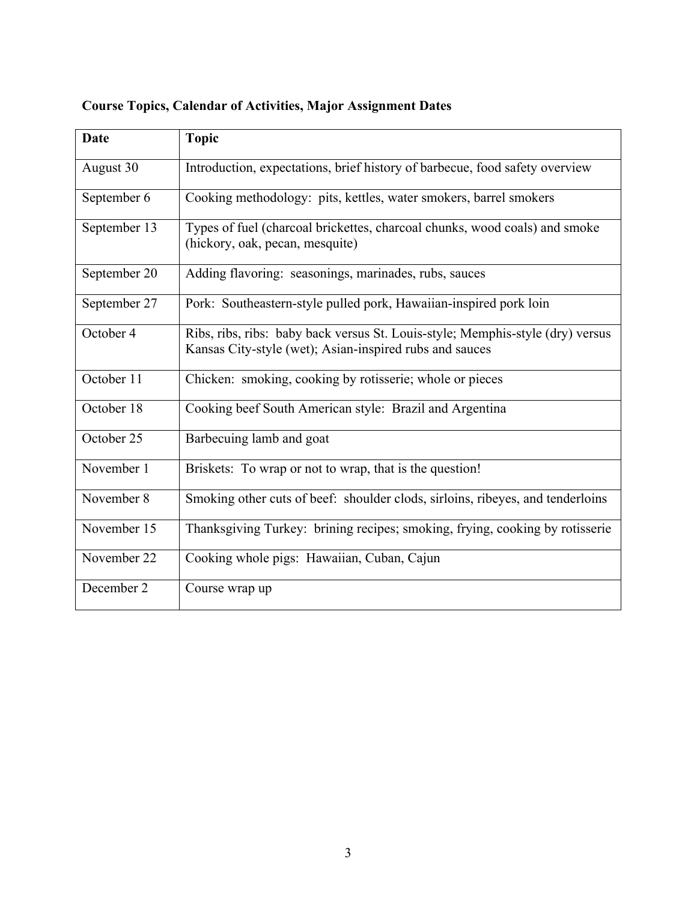| <b>Date</b>  | <b>Topic</b>                                                                                                                              |
|--------------|-------------------------------------------------------------------------------------------------------------------------------------------|
| August 30    | Introduction, expectations, brief history of barbecue, food safety overview                                                               |
| September 6  | Cooking methodology: pits, kettles, water smokers, barrel smokers                                                                         |
| September 13 | Types of fuel (charcoal brickettes, charcoal chunks, wood coals) and smoke<br>(hickory, oak, pecan, mesquite)                             |
| September 20 | Adding flavoring: seasonings, marinades, rubs, sauces                                                                                     |
| September 27 | Pork: Southeastern-style pulled pork, Hawaiian-inspired pork loin                                                                         |
| October 4    | Ribs, ribs, ribs: baby back versus St. Louis-style; Memphis-style (dry) versus<br>Kansas City-style (wet); Asian-inspired rubs and sauces |
| October 11   | Chicken: smoking, cooking by rotisserie; whole or pieces                                                                                  |
| October 18   | Cooking beef South American style: Brazil and Argentina                                                                                   |
| October 25   | Barbecuing lamb and goat                                                                                                                  |
| November 1   | Briskets: To wrap or not to wrap, that is the question!                                                                                   |
| November 8   | Smoking other cuts of beef: shoulder clods, sirloins, ribeyes, and tenderloins                                                            |
| November 15  | Thanksgiving Turkey: brining recipes; smoking, frying, cooking by rotisserie                                                              |
| November 22  | Cooking whole pigs: Hawaiian, Cuban, Cajun                                                                                                |
| December 2   | Course wrap up                                                                                                                            |

# **Course Topics, Calendar of Activities, Major Assignment Dates**